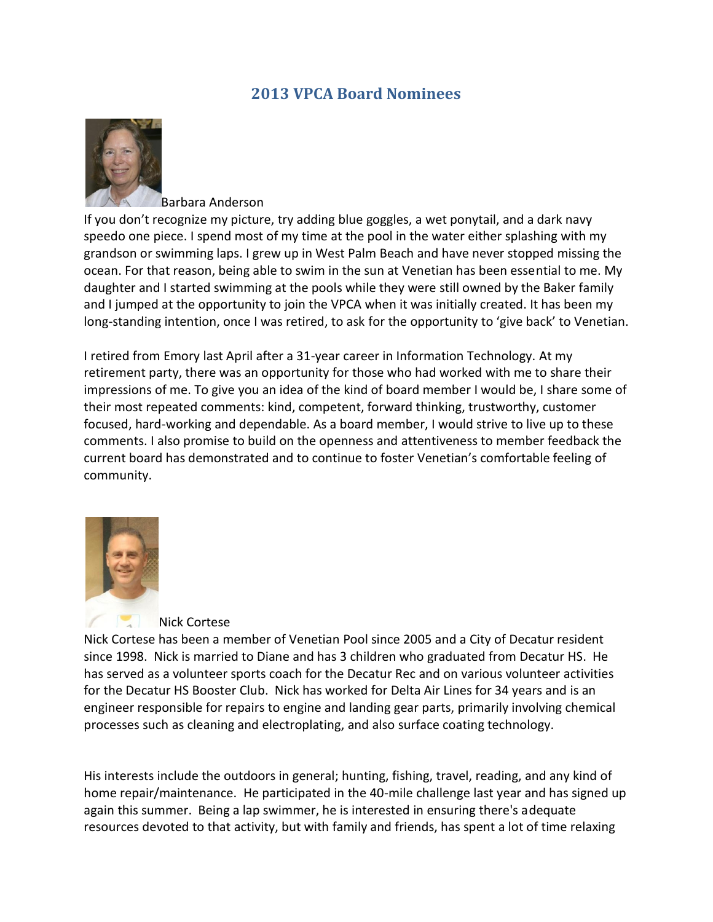## **2013 VPCA Board Nominees**



## Barbara Anderson

If you don't recognize my picture, try adding blue goggles, a wet ponytail, and a dark navy speedo one piece. I spend most of my time at the pool in the water either splashing with my grandson or swimming laps. I grew up in West Palm Beach and have never stopped missing the ocean. For that reason, being able to swim in the sun at Venetian has been essential to me. My daughter and I started swimming at the pools while they were still owned by the Baker family and I jumped at the opportunity to join the VPCA when it was initially created. It has been my long-standing intention, once I was retired, to ask for the opportunity to 'give back' to Venetian.

I retired from Emory last April after a 31-year career in Information Technology. At my retirement party, there was an opportunity for those who had worked with me to share their impressions of me. To give you an idea of the kind of board member I would be, I share some of their most repeated comments: kind, competent, forward thinking, trustworthy, customer focused, hard-working and dependable. As a board member, I would strive to live up to these comments. I also promise to build on the openness and attentiveness to member feedback the current board has demonstrated and to continue to foster Venetian's comfortable feeling of community.



## Nick Cortese

Nick Cortese has been a member of Venetian Pool since 2005 and a City of Decatur resident since 1998. Nick is married to Diane and has 3 children who graduated from Decatur HS. He has served as a volunteer sports coach for the Decatur Rec and on various volunteer activities for the Decatur HS Booster Club. Nick has worked for Delta Air Lines for 34 years and is an engineer responsible for repairs to engine and landing gear parts, primarily involving chemical processes such as cleaning and electroplating, and also surface coating technology.

His interests include the outdoors in general; hunting, fishing, travel, reading, and any kind of home repair/maintenance. He participated in the 40-mile challenge last year and has signed up again this summer. Being a lap swimmer, he is interested in ensuring there's adequate resources devoted to that activity, but with family and friends, has spent a lot of time relaxing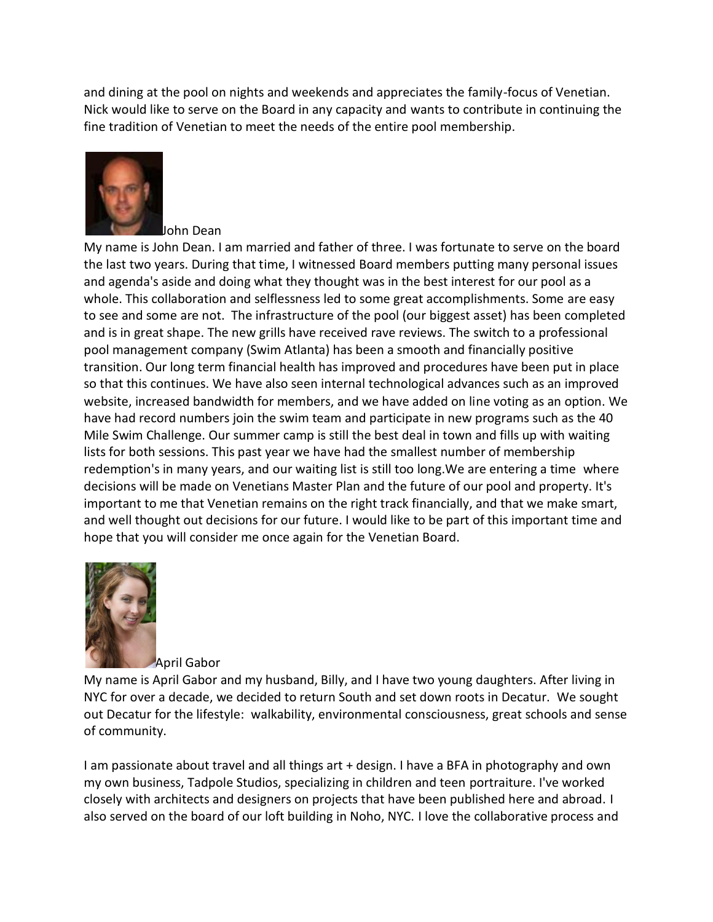and dining at the pool on nights and weekends and appreciates the family-focus of Venetian. Nick would like to serve on the Board in any capacity and wants to contribute in continuing the fine tradition of Venetian to meet the needs of the entire pool membership.



John Dean

My name is John Dean. I am married and father of three. I was fortunate to serve on the board the last two years. During that time, I witnessed Board members putting many personal issues and agenda's aside and doing what they thought was in the best interest for our pool as a whole. This collaboration and selflessness led to some great accomplishments. Some are easy to see and some are not. The infrastructure of the pool (our biggest asset) has been completed and is in great shape. The new grills have received rave reviews. The switch to a professional pool management company (Swim Atlanta) has been a smooth and financially positive transition. Our long term financial health has improved and procedures have been put in place so that this continues. We have also seen internal technological advances such as an improved website, increased bandwidth for members, and we have added on line voting as an option. We have had record numbers join the swim team and participate in new programs such as the 40 Mile Swim Challenge. Our summer camp is still the best deal in town and fills up with waiting lists for both sessions. This past year we have had the smallest number of membership redemption's in many years, and our waiting list is still too long.We are entering a time where decisions will be made on Venetians Master Plan and the future of our pool and property. It's important to me that Venetian remains on the right track financially, and that we make smart, and well thought out decisions for our future. I would like to be part of this important time and hope that you will consider me once again for the Venetian Board.



April Gabor

My name is April Gabor and my husband, Billy, and I have two young daughters. After living in NYC for over a decade, we decided to return South and set down roots in Decatur. We sought out Decatur for the lifestyle: walkability, environmental consciousness, great schools and sense of community.

I am passionate about travel and all things art + design. I have a BFA in photography and own my own business, Tadpole Studios, specializing in children and teen portraiture. I've worked closely with architects and designers on projects that have been published here and abroad. I also served on the board of our loft building in Noho, NYC. I love the collaborative process and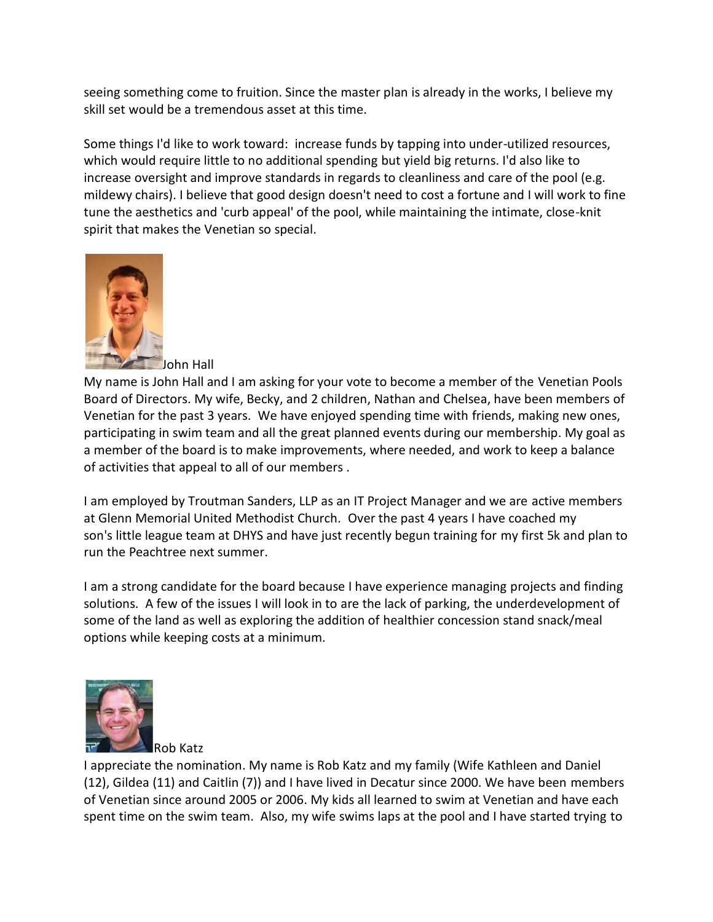seeing something come to fruition. Since the master plan is already in the works, I believe my skill set would be a tremendous asset at this time.

Some things I'd like to work toward: increase funds by tapping into under-utilized resources, which would require little to no additional spending but yield big returns. I'd also like to increase oversight and improve standards in regards to cleanliness and care of the pool (e.g. mildewy chairs). I believe that good design doesn't need to cost a fortune and I will work to fine tune the aesthetics and 'curb appeal' of the pool, while maintaining the intimate, close-knit spirit that makes the Venetian so special.



John Hall

My name is John Hall and I am asking for your vote to become a member of the Venetian Pools Board of Directors. My wife, Becky, and 2 children, Nathan and Chelsea, have been members of Venetian for the past 3 years. We have enjoyed spending time with friends, making new ones, participating in swim team and all the great planned events during our membership. My goal as a member of the board is to make improvements, where needed, and work to keep a balance of activities that appeal to all of our members .

I am employed by Troutman Sanders, LLP as an IT Project Manager and we are active members at Glenn Memorial United Methodist Church. Over the past 4 years I have coached my son's little league team at DHYS and have just recently begun training for my first 5k and plan to run the Peachtree next summer.

I am a strong candidate for the board because I have experience managing projects and finding solutions. A few of the issues I will look in to are the lack of parking, the underdevelopment of some of the land as well as exploring the addition of healthier concession stand snack/meal options while keeping costs at a minimum.



I appreciate the nomination. My name is Rob Katz and my family (Wife Kathleen and Daniel (12), Gildea (11) and Caitlin (7)) and I have lived in Decatur since 2000. We have been members of Venetian since around 2005 or 2006. My kids all learned to swim at Venetian and have each spent time on the swim team. Also, my wife swims laps at the pool and I have started trying to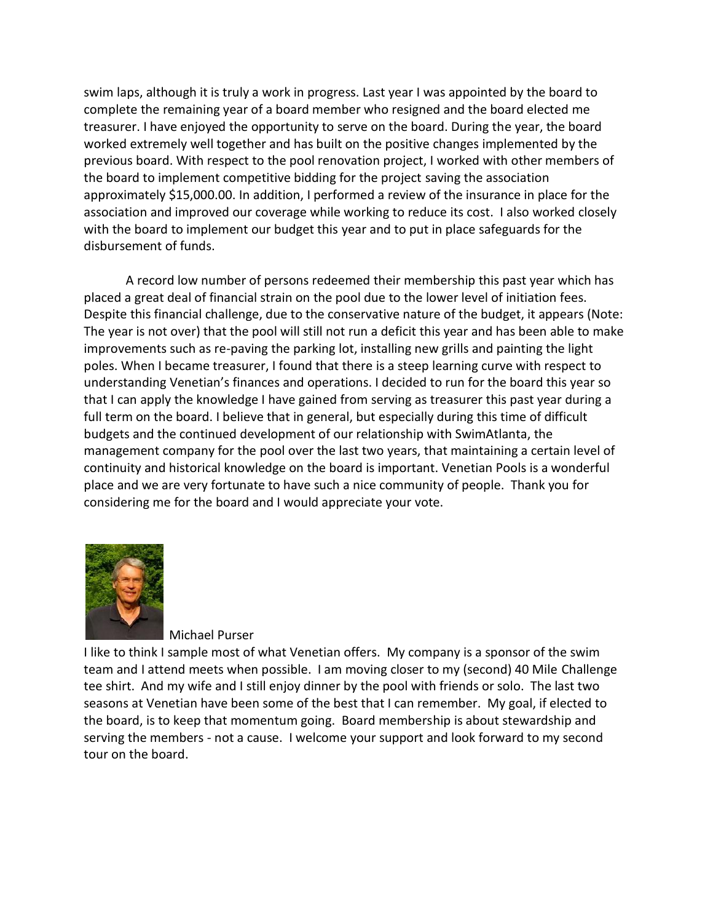swim laps, although it is truly a work in progress. Last year I was appointed by the board to complete the remaining year of a board member who resigned and the board elected me treasurer. I have enjoyed the opportunity to serve on the board. During the year, the board worked extremely well together and has built on the positive changes implemented by the previous board. With respect to the pool renovation project, I worked with other members of the board to implement competitive bidding for the project saving the association approximately \$15,000.00. In addition, I performed a review of the insurance in place for the association and improved our coverage while working to reduce its cost. I also worked closely with the board to implement our budget this year and to put in place safeguards for the disbursement of funds.

A record low number of persons redeemed their membership this past year which has placed a great deal of financial strain on the pool due to the lower level of initiation fees. Despite this financial challenge, due to the conservative nature of the budget, it appears (Note: The year is not over) that the pool will still not run a deficit this year and has been able to make improvements such as re-paving the parking lot, installing new grills and painting the light poles. When I became treasurer, I found that there is a steep learning curve with respect to understanding Venetian's finances and operations. I decided to run for the board this year so that I can apply the knowledge I have gained from serving as treasurer this past year during a full term on the board. I believe that in general, but especially during this time of difficult budgets and the continued development of our relationship with SwimAtlanta, the management company for the pool over the last two years, that maintaining a certain level of continuity and historical knowledge on the board is important. Venetian Pools is a wonderful place and we are very fortunate to have such a nice community of people. Thank you for considering me for the board and I would appreciate your vote.



Michael Purser

I like to think I sample most of what Venetian offers. My company is a sponsor of the swim team and I attend meets when possible. I am moving closer to my (second) 40 Mile Challenge tee shirt. And my wife and I still enjoy dinner by the pool with friends or solo. The last two seasons at Venetian have been some of the best that I can remember. My goal, if elected to the board, is to keep that momentum going. Board membership is about stewardship and serving the members - not a cause. I welcome your support and look forward to my second tour on the board.